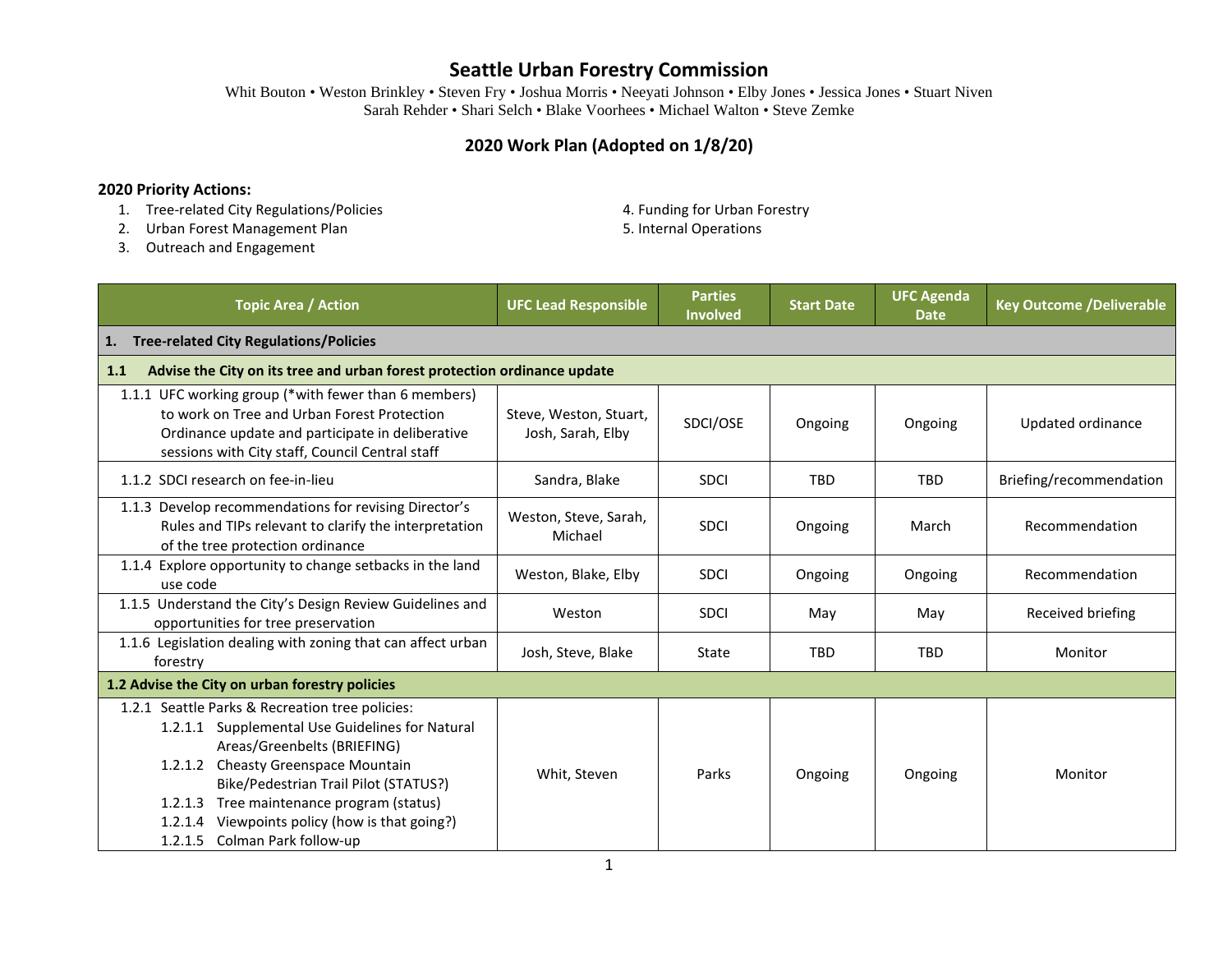Whit Bouton • Weston Brinkley • Steven Fry • Joshua Morris • Neeyati Johnson • Elby Jones • Jessica Jones • Stuart Niven Sarah Rehder • Shari Selch • Blake Voorhees • Michael Walton • Steve Zemke

### **2020 Work Plan (Adopted on 1/8/20)**

#### **2020 Priority Actions:**

- 1. Tree-related City Regulations/Policies **4. Funding for Urban Forestry**
- 2. Urban Forest Management Plan 5. Internal Operations
- -

3. Outreach and Engagement

| <b>Topic Area / Action</b>                                                                                                                                                                                                                                                                                                                                 | <b>UFC Lead Responsible</b>                 | <b>Parties</b><br><b>Involved</b> | <b>Start Date</b> | <b>UFC Agenda</b><br><b>Date</b> | <b>Key Outcome /Deliverable</b> |  |
|------------------------------------------------------------------------------------------------------------------------------------------------------------------------------------------------------------------------------------------------------------------------------------------------------------------------------------------------------------|---------------------------------------------|-----------------------------------|-------------------|----------------------------------|---------------------------------|--|
| <b>Tree-related City Regulations/Policies</b><br>1.                                                                                                                                                                                                                                                                                                        |                                             |                                   |                   |                                  |                                 |  |
| Advise the City on its tree and urban forest protection ordinance update<br>1.1                                                                                                                                                                                                                                                                            |                                             |                                   |                   |                                  |                                 |  |
| 1.1.1 UFC working group (*with fewer than 6 members)<br>to work on Tree and Urban Forest Protection<br>Ordinance update and participate in deliberative<br>sessions with City staff, Council Central staff                                                                                                                                                 | Steve, Weston, Stuart,<br>Josh, Sarah, Elby | SDCI/OSE                          | Ongoing           | Ongoing                          | Updated ordinance               |  |
| 1.1.2 SDCI research on fee-in-lieu                                                                                                                                                                                                                                                                                                                         | Sandra, Blake                               | <b>SDCI</b>                       | <b>TBD</b>        | <b>TBD</b>                       | Briefing/recommendation         |  |
| 1.1.3 Develop recommendations for revising Director's<br>Rules and TIPs relevant to clarify the interpretation<br>of the tree protection ordinance                                                                                                                                                                                                         | Weston, Steve, Sarah,<br>Michael            | <b>SDCI</b>                       | Ongoing           | March                            | Recommendation                  |  |
| 1.1.4 Explore opportunity to change setbacks in the land<br>use code                                                                                                                                                                                                                                                                                       | Weston, Blake, Elby                         | <b>SDCI</b>                       | Ongoing           | Ongoing                          | Recommendation                  |  |
| 1.1.5 Understand the City's Design Review Guidelines and<br>opportunities for tree preservation                                                                                                                                                                                                                                                            | Weston                                      | <b>SDCI</b>                       | May               | May                              | Received briefing               |  |
| 1.1.6 Legislation dealing with zoning that can affect urban<br>forestry                                                                                                                                                                                                                                                                                    | Josh, Steve, Blake                          | State                             | <b>TBD</b>        | <b>TBD</b>                       | Monitor                         |  |
| 1.2 Advise the City on urban forestry policies                                                                                                                                                                                                                                                                                                             |                                             |                                   |                   |                                  |                                 |  |
| 1.2.1 Seattle Parks & Recreation tree policies:<br>1.2.1.1 Supplemental Use Guidelines for Natural<br>Areas/Greenbelts (BRIEFING)<br>1.2.1.2 Cheasty Greenspace Mountain<br>Bike/Pedestrian Trail Pilot (STATUS?)<br>Tree maintenance program (status)<br>1.2.1.3<br>Viewpoints policy (how is that going?)<br>1.2.1.4<br>1.2.1.5<br>Colman Park follow-up | Whit, Steven                                | Parks                             | Ongoing           | Ongoing                          | Monitor                         |  |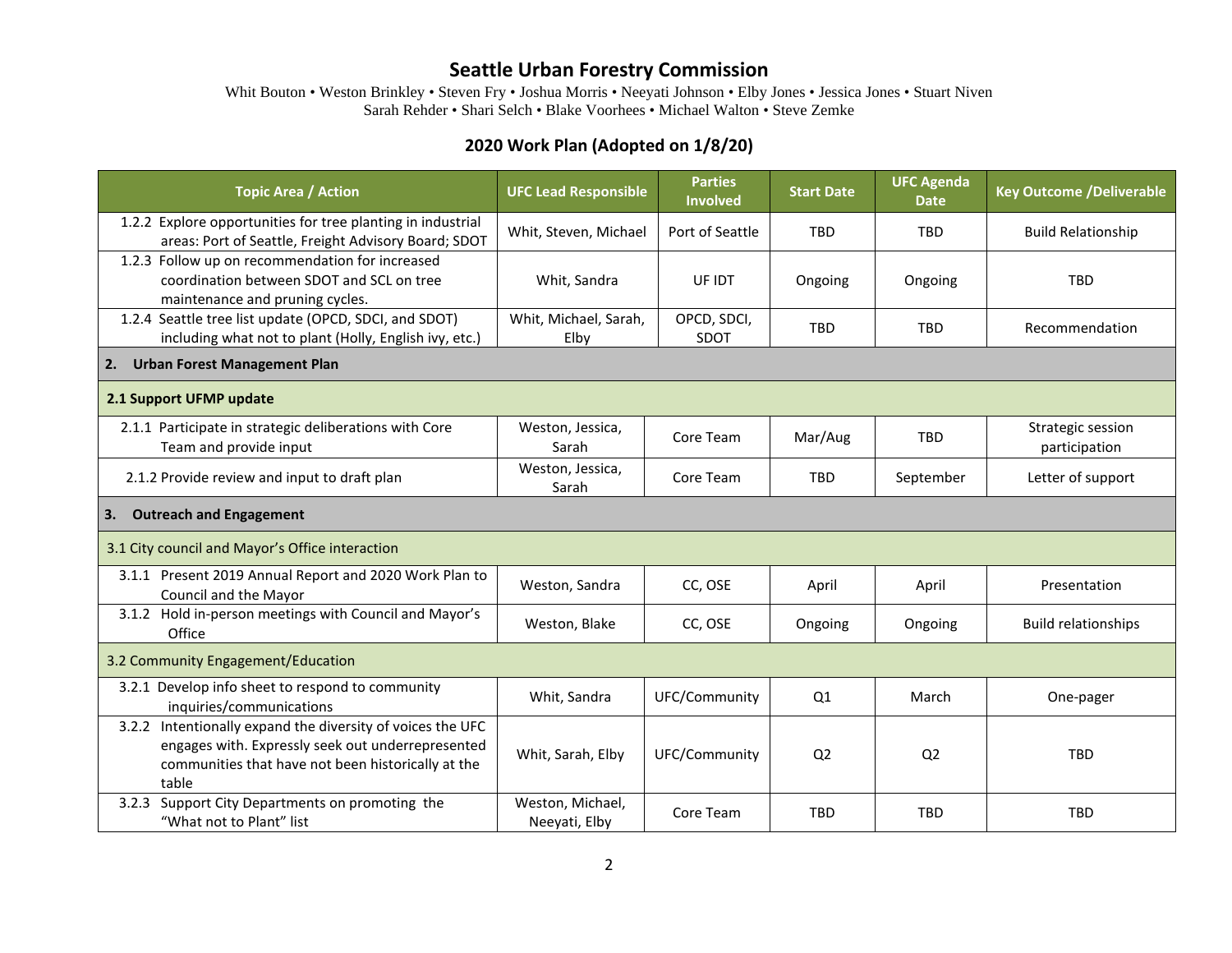Whit Bouton • Weston Brinkley • Steven Fry • Joshua Morris • Neeyati Johnson • Elby Jones • Jessica Jones • Stuart Niven Sarah Rehder • Shari Selch • Blake Voorhees • Michael Walton • Steve Zemke

### **2020 Work Plan (Adopted on 1/8/20)**

| <b>Topic Area / Action</b>                                                                                                                                                     | <b>UFC Lead Responsible</b>       | <b>Parties</b><br><b>Involved</b> | <b>Start Date</b> | <b>UFC Agenda</b><br><b>Date</b> | <b>Key Outcome /Deliverable</b>    |  |
|--------------------------------------------------------------------------------------------------------------------------------------------------------------------------------|-----------------------------------|-----------------------------------|-------------------|----------------------------------|------------------------------------|--|
| 1.2.2 Explore opportunities for tree planting in industrial<br>areas: Port of Seattle, Freight Advisory Board; SDOT                                                            | Whit, Steven, Michael             | Port of Seattle                   | <b>TBD</b>        | <b>TBD</b>                       | <b>Build Relationship</b>          |  |
| 1.2.3 Follow up on recommendation for increased<br>coordination between SDOT and SCL on tree<br>maintenance and pruning cycles.                                                | Whit, Sandra                      | UF IDT                            | Ongoing           | Ongoing                          | <b>TBD</b>                         |  |
| 1.2.4 Seattle tree list update (OPCD, SDCI, and SDOT)<br>including what not to plant (Holly, English ivy, etc.)                                                                | Whit, Michael, Sarah,<br>Elby     | OPCD, SDCI,<br>SDOT               | <b>TBD</b>        | <b>TBD</b>                       | Recommendation                     |  |
| <b>Urban Forest Management Plan</b><br>2.                                                                                                                                      |                                   |                                   |                   |                                  |                                    |  |
| 2.1 Support UFMP update                                                                                                                                                        |                                   |                                   |                   |                                  |                                    |  |
| 2.1.1 Participate in strategic deliberations with Core<br>Team and provide input                                                                                               | Weston, Jessica,<br>Sarah         | Core Team                         | Mar/Aug           | <b>TBD</b>                       | Strategic session<br>participation |  |
| 2.1.2 Provide review and input to draft plan                                                                                                                                   | Weston, Jessica,<br>Sarah         | Core Team                         | <b>TBD</b>        | September                        | Letter of support                  |  |
| <b>Outreach and Engagement</b><br>3.                                                                                                                                           |                                   |                                   |                   |                                  |                                    |  |
| 3.1 City council and Mayor's Office interaction                                                                                                                                |                                   |                                   |                   |                                  |                                    |  |
| 3.1.1 Present 2019 Annual Report and 2020 Work Plan to<br>Council and the Mayor                                                                                                | Weston, Sandra                    | CC, OSE                           | April             | April                            | Presentation                       |  |
| 3.1.2 Hold in-person meetings with Council and Mayor's<br>Office                                                                                                               | Weston, Blake                     | CC, OSE                           | Ongoing           | Ongoing                          | <b>Build relationships</b>         |  |
| 3.2 Community Engagement/Education                                                                                                                                             |                                   |                                   |                   |                                  |                                    |  |
| 3.2.1 Develop info sheet to respond to community<br>inquiries/communications                                                                                                   | Whit, Sandra                      | UFC/Community                     | Q1                | March                            | One-pager                          |  |
| 3.2.2 Intentionally expand the diversity of voices the UFC<br>engages with. Expressly seek out underrepresented<br>communities that have not been historically at the<br>table | Whit, Sarah, Elby                 | UFC/Community                     | Q <sub>2</sub>    | Q <sub>2</sub>                   | <b>TBD</b>                         |  |
| Support City Departments on promoting the<br>3.2.3<br>"What not to Plant" list                                                                                                 | Weston, Michael,<br>Neeyati, Elby | Core Team                         | <b>TBD</b>        | <b>TBD</b>                       | <b>TBD</b>                         |  |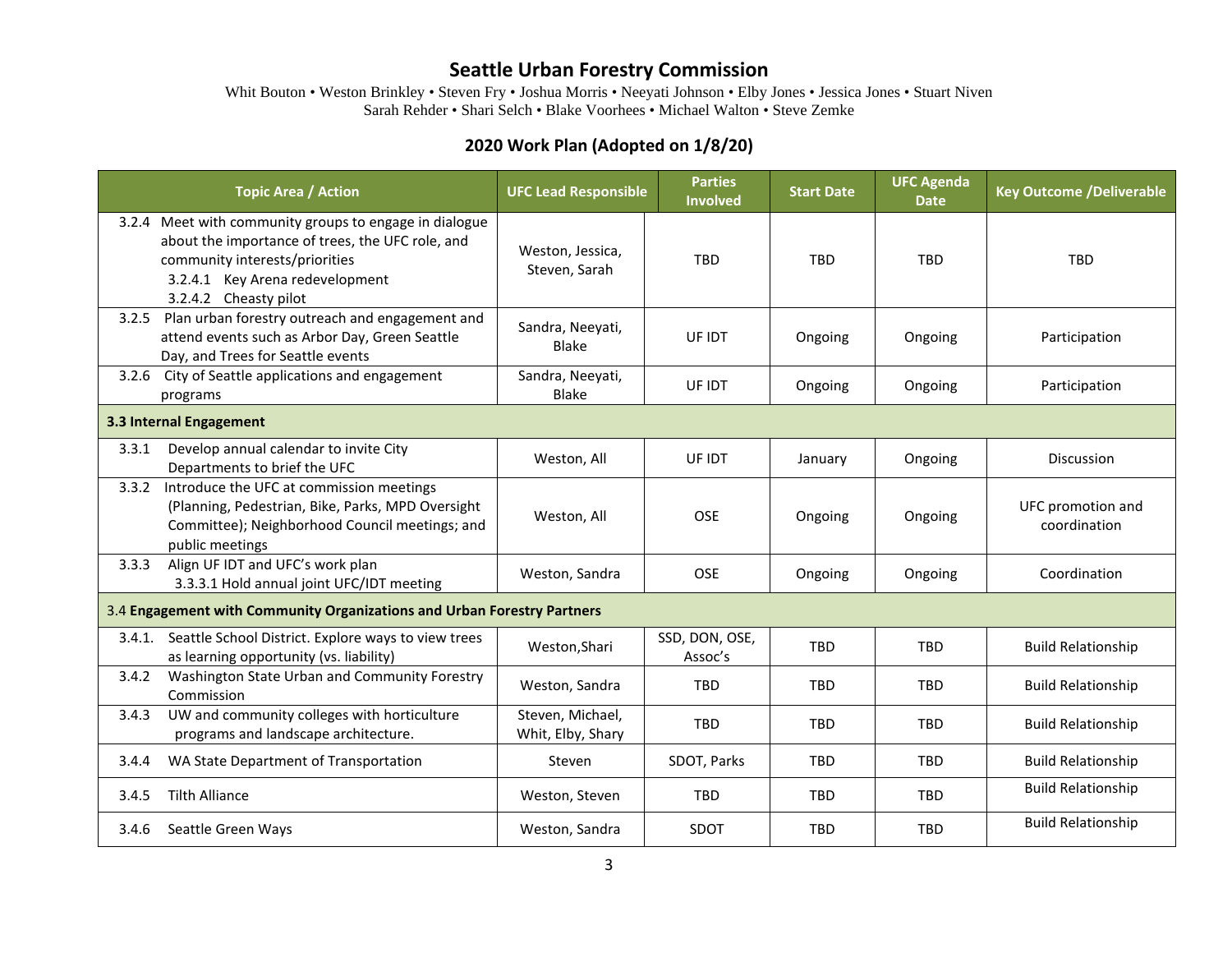Whit Bouton • Weston Brinkley • Steven Fry • Joshua Morris • Neeyati Johnson • Elby Jones • Jessica Jones • Stuart Niven Sarah Rehder • Shari Selch • Blake Voorhees • Michael Walton • Steve Zemke

### **2020 Work Plan (Adopted on 1/8/20)**

|                                                                         | <b>Topic Area / Action</b>                                                                                                                                                                               | <b>UFC Lead Responsible</b>           | <b>Parties</b><br><b>Involved</b> | <b>Start Date</b> | <b>UFC Agenda</b><br><b>Date</b> | <b>Key Outcome /Deliverable</b>   |  |
|-------------------------------------------------------------------------|----------------------------------------------------------------------------------------------------------------------------------------------------------------------------------------------------------|---------------------------------------|-----------------------------------|-------------------|----------------------------------|-----------------------------------|--|
|                                                                         | 3.2.4 Meet with community groups to engage in dialogue<br>about the importance of trees, the UFC role, and<br>community interests/priorities<br>3.2.4.1 Key Arena redevelopment<br>3.2.4.2 Cheasty pilot | Weston, Jessica,<br>Steven, Sarah     | <b>TBD</b>                        | <b>TBD</b>        | <b>TBD</b>                       | <b>TBD</b>                        |  |
| 3.2.5                                                                   | Plan urban forestry outreach and engagement and<br>attend events such as Arbor Day, Green Seattle<br>Day, and Trees for Seattle events                                                                   | Sandra, Neeyati,<br><b>Blake</b>      | UF IDT                            | Ongoing           | Ongoing                          | Participation                     |  |
|                                                                         | 3.2.6 City of Seattle applications and engagement<br>programs                                                                                                                                            | Sandra, Neeyati,<br><b>Blake</b>      | UF IDT                            | Ongoing           | Ongoing                          | Participation                     |  |
| 3.3 Internal Engagement                                                 |                                                                                                                                                                                                          |                                       |                                   |                   |                                  |                                   |  |
| 3.3.1                                                                   | Develop annual calendar to invite City<br>Departments to brief the UFC                                                                                                                                   | Weston, All                           | UF IDT                            | January           | Ongoing                          | <b>Discussion</b>                 |  |
| 3.3.2                                                                   | Introduce the UFC at commission meetings<br>(Planning, Pedestrian, Bike, Parks, MPD Oversight<br>Committee); Neighborhood Council meetings; and<br>public meetings                                       | Weston, All                           | <b>OSE</b>                        | Ongoing           | Ongoing                          | UFC promotion and<br>coordination |  |
| 3.3.3                                                                   | Align UF IDT and UFC's work plan<br>3.3.3.1 Hold annual joint UFC/IDT meeting                                                                                                                            | Weston, Sandra                        | <b>OSE</b>                        | Ongoing           | Ongoing                          | Coordination                      |  |
| 3.4 Engagement with Community Organizations and Urban Forestry Partners |                                                                                                                                                                                                          |                                       |                                   |                   |                                  |                                   |  |
|                                                                         | 3.4.1. Seattle School District. Explore ways to view trees<br>as learning opportunity (vs. liability)                                                                                                    | Weston, Shari                         | SSD, DON, OSE,<br>Assoc's         | <b>TBD</b>        | <b>TBD</b>                       | <b>Build Relationship</b>         |  |
| 3.4.2                                                                   | Washington State Urban and Community Forestry<br>Commission                                                                                                                                              | Weston, Sandra                        | <b>TBD</b>                        | <b>TBD</b>        | <b>TBD</b>                       | <b>Build Relationship</b>         |  |
| 3.4.3                                                                   | UW and community colleges with horticulture<br>programs and landscape architecture.                                                                                                                      | Steven, Michael,<br>Whit, Elby, Shary | <b>TBD</b>                        | <b>TBD</b>        | <b>TBD</b>                       | <b>Build Relationship</b>         |  |
| 3.4.4                                                                   | WA State Department of Transportation                                                                                                                                                                    | Steven                                | SDOT, Parks                       | <b>TBD</b>        | <b>TBD</b>                       | <b>Build Relationship</b>         |  |
| 3.4.5                                                                   | <b>Tilth Alliance</b>                                                                                                                                                                                    | Weston, Steven                        | <b>TBD</b>                        | <b>TBD</b>        | <b>TBD</b>                       | <b>Build Relationship</b>         |  |
| 3.4.6                                                                   | Seattle Green Ways                                                                                                                                                                                       | Weston, Sandra                        | SDOT                              | <b>TBD</b>        | <b>TBD</b>                       | <b>Build Relationship</b>         |  |